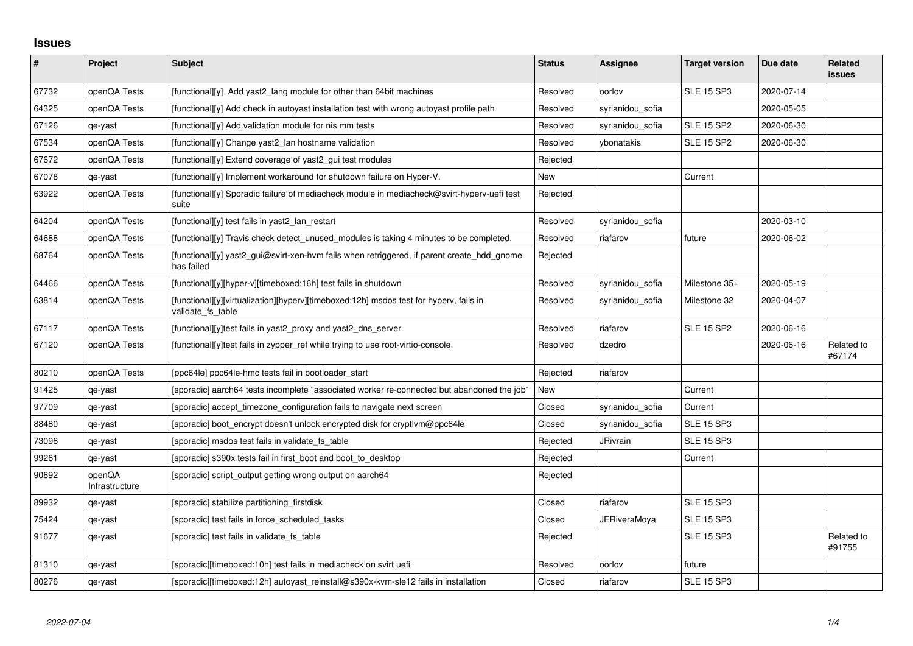## **Issues**

| $\sharp$ | Project                  | <b>Subject</b>                                                                                              | <b>Status</b> | Assignee            | <b>Target version</b> | Due date   | Related<br><b>issues</b> |
|----------|--------------------------|-------------------------------------------------------------------------------------------------------------|---------------|---------------------|-----------------------|------------|--------------------------|
| 67732    | openQA Tests             | [functional][y] Add yast2 lang module for other than 64bit machines                                         | Resolved      | oorlov              | <b>SLE 15 SP3</b>     | 2020-07-14 |                          |
| 64325    | openQA Tests             | [functional][y] Add check in autoyast installation test with wrong autoyast profile path                    | Resolved      | syrianidou_sofia    |                       | 2020-05-05 |                          |
| 67126    | qe-yast                  | [functional][y] Add validation module for nis mm tests                                                      | Resolved      | syrianidou_sofia    | <b>SLE 15 SP2</b>     | 2020-06-30 |                          |
| 67534    | openQA Tests             | [functional][y] Change yast2 lan hostname validation                                                        | Resolved      | ybonatakis          | <b>SLE 15 SP2</b>     | 2020-06-30 |                          |
| 67672    | openQA Tests             | [functional][y] Extend coverage of yast2_gui test modules                                                   | Rejected      |                     |                       |            |                          |
| 67078    | qe-yast                  | [functional][y] Implement workaround for shutdown failure on Hyper-V.                                       | New           |                     | Current               |            |                          |
| 63922    | openQA Tests             | [functional][y] Sporadic failure of mediacheck module in mediacheck@svirt-hyperv-uefi test<br>suite         | Rejected      |                     |                       |            |                          |
| 64204    | openQA Tests             | [functional][y] test fails in yast2_lan_restart                                                             | Resolved      | syrianidou_sofia    |                       | 2020-03-10 |                          |
| 64688    | openQA Tests             | [functional][y] Travis check detect_unused_modules is taking 4 minutes to be completed.                     | Resolved      | riafarov            | future                | 2020-06-02 |                          |
| 68764    | openQA Tests             | [functional][y] yast2_gui@svirt-xen-hvm fails when retriggered, if parent create_hdd_gnome<br>has failed    | Rejected      |                     |                       |            |                          |
| 64466    | openQA Tests             | [functional][y][hyper-v][timeboxed:16h] test fails in shutdown                                              | Resolved      | syrianidou_sofia    | Milestone 35+         | 2020-05-19 |                          |
| 63814    | openQA Tests             | [functional][y][virtualization][hyperv][timeboxed:12h] msdos test for hyperv, fails in<br>validate fs table | Resolved      | syrianidou sofia    | Milestone 32          | 2020-04-07 |                          |
| 67117    | openQA Tests             | [functional][y]test fails in yast2 proxy and yast2 dns server                                               | Resolved      | riafarov            | <b>SLE 15 SP2</b>     | 2020-06-16 |                          |
| 67120    | openQA Tests             | [functional][y]test fails in zypper_ref while trying to use root-virtio-console.                            | Resolved      | dzedro              |                       | 2020-06-16 | Related to<br>#67174     |
| 80210    | openQA Tests             | [ppc64le] ppc64le-hmc tests fail in bootloader_start                                                        | Rejected      | riafarov            |                       |            |                          |
| 91425    | qe-yast                  | [sporadic] aarch64 tests incomplete "associated worker re-connected but abandoned the job"                  | New           |                     | Current               |            |                          |
| 97709    | qe-yast                  | [sporadic] accept_timezone_configuration fails to navigate next screen                                      | Closed        | syrianidou_sofia    | Current               |            |                          |
| 88480    | qe-yast                  | [sporadic] boot encrypt doesn't unlock encrypted disk for cryptlym@ppc64le                                  | Closed        | syrianidou sofia    | <b>SLE 15 SP3</b>     |            |                          |
| 73096    | qe-yast                  | [sporadic] msdos test fails in validate_fs_table                                                            | Rejected      | <b>JRivrain</b>     | <b>SLE 15 SP3</b>     |            |                          |
| 99261    | qe-yast                  | [sporadic] s390x tests fail in first_boot and boot_to_desktop                                               | Rejected      |                     | Current               |            |                          |
| 90692    | openQA<br>Infrastructure | [sporadic] script_output getting wrong output on aarch64                                                    | Rejected      |                     |                       |            |                          |
| 89932    | qe-yast                  | [sporadic] stabilize partitioning_firstdisk                                                                 | Closed        | riafarov            | <b>SLE 15 SP3</b>     |            |                          |
| 75424    | qe-yast                  | [sporadic] test fails in force_scheduled_tasks                                                              | Closed        | <b>JERiveraMoya</b> | <b>SLE 15 SP3</b>     |            |                          |
| 91677    | qe-yast                  | [sporadic] test fails in validate_fs_table                                                                  | Rejected      |                     | <b>SLE 15 SP3</b>     |            | Related to<br>#91755     |
| 81310    | qe-yast                  | [sporadic][timeboxed:10h] test fails in mediacheck on svirt uefi                                            | Resolved      | oorlov              | future                |            |                          |
| 80276    | qe-yast                  | [sporadic][timeboxed:12h] autoyast reinstall@s390x-kvm-sle12 fails in installation                          | Closed        | riafarov            | <b>SLE 15 SP3</b>     |            |                          |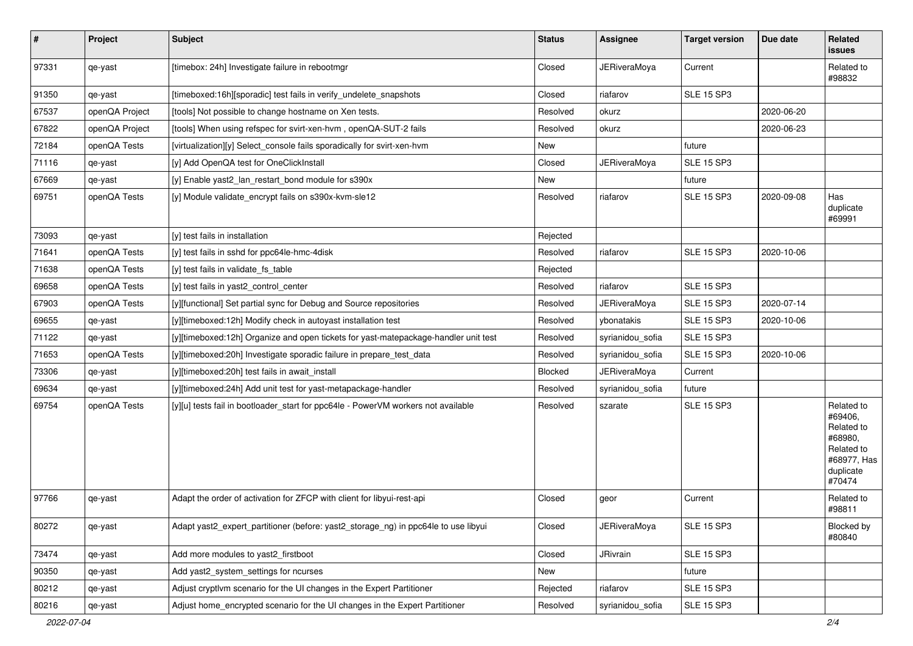| $\vert$ # | Project        | Subject                                                                             | <b>Status</b> | Assignee            | <b>Target version</b> | Due date   | Related<br>issues                                                                                  |
|-----------|----------------|-------------------------------------------------------------------------------------|---------------|---------------------|-----------------------|------------|----------------------------------------------------------------------------------------------------|
| 97331     | qe-yast        | [timebox: 24h] Investigate failure in rebootmgr                                     | Closed        | <b>JERiveraMoya</b> | Current               |            | Related to<br>#98832                                                                               |
| 91350     | qe-yast        | [timeboxed:16h][sporadic] test fails in verify_undelete_snapshots                   | Closed        | riafarov            | <b>SLE 15 SP3</b>     |            |                                                                                                    |
| 67537     | openQA Project | [tools] Not possible to change hostname on Xen tests.                               | Resolved      | okurz               |                       | 2020-06-20 |                                                                                                    |
| 67822     | openQA Project | [tools] When using refspec for svirt-xen-hvm, openQA-SUT-2 fails                    | Resolved      | okurz               |                       | 2020-06-23 |                                                                                                    |
| 72184     | openQA Tests   | [virtualization][y] Select console fails sporadically for svirt-xen-hvm             | New           |                     | future                |            |                                                                                                    |
| 71116     | qe-yast        | [y] Add OpenQA test for OneClickInstall                                             | Closed        | <b>JERiveraMoya</b> | SLE 15 SP3            |            |                                                                                                    |
| 67669     | qe-yast        | [y] Enable yast2_lan_restart_bond module for s390x                                  | New           |                     | future                |            |                                                                                                    |
| 69751     | openQA Tests   | [y] Module validate_encrypt fails on s390x-kvm-sle12                                | Resolved      | riafarov            | <b>SLE 15 SP3</b>     | 2020-09-08 | Has<br>duplicate<br>#69991                                                                         |
| 73093     | qe-yast        | [y] test fails in installation                                                      | Rejected      |                     |                       |            |                                                                                                    |
| 71641     | openQA Tests   | [y] test fails in sshd for ppc64le-hmc-4disk                                        | Resolved      | riafarov            | <b>SLE 15 SP3</b>     | 2020-10-06 |                                                                                                    |
| 71638     | openQA Tests   | [y] test fails in validate fs table                                                 | Rejected      |                     |                       |            |                                                                                                    |
| 69658     | openQA Tests   | [y] test fails in yast2_control_center                                              | Resolved      | riafarov            | <b>SLE 15 SP3</b>     |            |                                                                                                    |
| 67903     | openQA Tests   | [y][functional] Set partial sync for Debug and Source repositories                  | Resolved      | <b>JERiveraMoya</b> | <b>SLE 15 SP3</b>     | 2020-07-14 |                                                                                                    |
| 69655     | qe-yast        | [y][timeboxed:12h] Modify check in autoyast installation test                       | Resolved      | ybonatakis          | <b>SLE 15 SP3</b>     | 2020-10-06 |                                                                                                    |
| 71122     | qe-yast        | [y][timeboxed:12h] Organize and open tickets for yast-matepackage-handler unit test | Resolved      | syrianidou_sofia    | <b>SLE 15 SP3</b>     |            |                                                                                                    |
| 71653     | openQA Tests   | [y][timeboxed:20h] Investigate sporadic failure in prepare_test_data                | Resolved      | syrianidou sofia    | <b>SLE 15 SP3</b>     | 2020-10-06 |                                                                                                    |
| 73306     | qe-yast        | [y][timeboxed:20h] test fails in await_install                                      | Blocked       | <b>JERiveraMoya</b> | Current               |            |                                                                                                    |
| 69634     | qe-yast        | [y][timeboxed:24h] Add unit test for yast-metapackage-handler                       | Resolved      | syrianidou_sofia    | future                |            |                                                                                                    |
| 69754     | openQA Tests   | [y][u] tests fail in bootloader_start for ppc64le - PowerVM workers not available   | Resolved      | szarate             | <b>SLE 15 SP3</b>     |            | Related to<br>#69406.<br>Related to<br>#68980,<br>Related to<br>#68977, Has<br>duplicate<br>#70474 |
| 97766     | qe-yast        | Adapt the order of activation for ZFCP with client for libyui-rest-api              | Closed        | geor                | Current               |            | Related to<br>#98811                                                                               |
| 80272     | qe-yast        | Adapt yast2_expert_partitioner (before: yast2_storage_ng) in ppc64le to use libyui  | Closed        | <b>JERiveraMoya</b> | <b>SLE 15 SP3</b>     |            | Blocked by<br>#80840                                                                               |
| 73474     | qe-yast        | Add more modules to yast2_firstboot                                                 | Closed        | JRivrain            | <b>SLE 15 SP3</b>     |            |                                                                                                    |
| 90350     | qe-yast        | Add yast2 system settings for ncurses                                               | New           |                     | future                |            |                                                                                                    |
| 80212     | qe-yast        | Adjust cryptlvm scenario for the UI changes in the Expert Partitioner               | Rejected      | riafarov            | <b>SLE 15 SP3</b>     |            |                                                                                                    |
| 80216     | qe-yast        | Adjust home_encrypted scenario for the UI changes in the Expert Partitioner         | Resolved      | syrianidou_sofia    | <b>SLE 15 SP3</b>     |            |                                                                                                    |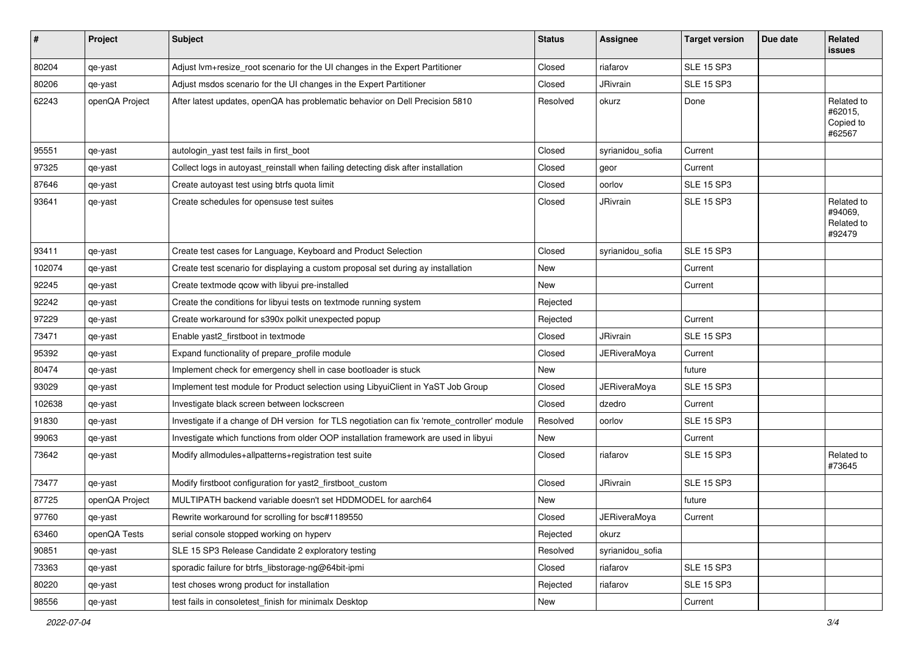| #      | Project        | Subject                                                                                      | <b>Status</b> | Assignee            | <b>Target version</b> | Due date | Related<br>issues                             |
|--------|----------------|----------------------------------------------------------------------------------------------|---------------|---------------------|-----------------------|----------|-----------------------------------------------|
| 80204  | qe-yast        | Adjust lvm+resize_root scenario for the UI changes in the Expert Partitioner                 | Closed        | riafarov            | <b>SLE 15 SP3</b>     |          |                                               |
| 80206  | qe-yast        | Adjust msdos scenario for the UI changes in the Expert Partitioner                           | Closed        | JRivrain            | <b>SLE 15 SP3</b>     |          |                                               |
| 62243  | openQA Project | After latest updates, openQA has problematic behavior on Dell Precision 5810                 | Resolved      | okurz               | Done                  |          | Related to<br>#62015,<br>Copied to<br>#62567  |
| 95551  | qe-yast        | autologin_yast test fails in first_boot                                                      | Closed        | syrianidou_sofia    | Current               |          |                                               |
| 97325  | qe-yast        | Collect logs in autoyast_reinstall when failing detecting disk after installation            | Closed        | geor                | Current               |          |                                               |
| 87646  | qe-yast        | Create autoyast test using btrfs quota limit                                                 | Closed        | oorlov              | <b>SLE 15 SP3</b>     |          |                                               |
| 93641  | qe-yast        | Create schedules for opensuse test suites                                                    | Closed        | JRivrain            | <b>SLE 15 SP3</b>     |          | Related to<br>#94069,<br>Related to<br>#92479 |
| 93411  | qe-yast        | Create test cases for Language, Keyboard and Product Selection                               | Closed        | syrianidou_sofia    | <b>SLE 15 SP3</b>     |          |                                               |
| 102074 | qe-yast        | Create test scenario for displaying a custom proposal set during ay installation             | New           |                     | Current               |          |                                               |
| 92245  | qe-yast        | Create textmode qcow with libyui pre-installed                                               | New           |                     | Current               |          |                                               |
| 92242  | qe-yast        | Create the conditions for libyui tests on textmode running system                            | Rejected      |                     |                       |          |                                               |
| 97229  | qe-yast        | Create workaround for s390x polkit unexpected popup                                          | Rejected      |                     | Current               |          |                                               |
| 73471  | qe-yast        | Enable yast2_firstboot in textmode                                                           | Closed        | JRivrain            | <b>SLE 15 SP3</b>     |          |                                               |
| 95392  | qe-yast        | Expand functionality of prepare_profile module                                               | Closed        | <b>JERiveraMoya</b> | Current               |          |                                               |
| 80474  | qe-yast        | Implement check for emergency shell in case bootloader is stuck                              | New           |                     | future                |          |                                               |
| 93029  | qe-yast        | Implement test module for Product selection using LibyuiClient in YaST Job Group             | Closed        | JERiveraMoya        | <b>SLE 15 SP3</b>     |          |                                               |
| 102638 | qe-yast        | Investigate black screen between lockscreen                                                  | Closed        | dzedro              | Current               |          |                                               |
| 91830  | qe-yast        | Investigate if a change of DH version for TLS negotiation can fix 'remote_controller' module | Resolved      | oorlov              | <b>SLE 15 SP3</b>     |          |                                               |
| 99063  | qe-yast        | Investigate which functions from older OOP installation framework are used in libyui         | New           |                     | Current               |          |                                               |
| 73642  | qe-yast        | Modify allmodules+allpatterns+registration test suite                                        | Closed        | riafarov            | <b>SLE 15 SP3</b>     |          | Related to<br>#73645                          |
| 73477  | qe-yast        | Modify firstboot configuration for yast2_firstboot_custom                                    | Closed        | JRivrain            | <b>SLE 15 SP3</b>     |          |                                               |
| 87725  | openQA Project | MULTIPATH backend variable doesn't set HDDMODEL for aarch64                                  | New           |                     | future                |          |                                               |
| 97760  | qe-yast        | Rewrite workaround for scrolling for bsc#1189550                                             | Closed        | <b>JERiveraMoya</b> | Current               |          |                                               |
| 63460  | openQA Tests   | serial console stopped working on hyperv                                                     | Rejected      | okurz               |                       |          |                                               |
| 90851  | qe-yast        | SLE 15 SP3 Release Candidate 2 exploratory testing                                           | Resolved      | syrianidou_sofia    |                       |          |                                               |
| 73363  | qe-yast        | sporadic failure for btrfs libstorage-ng@64bit-ipmi                                          | Closed        | riafarov            | <b>SLE 15 SP3</b>     |          |                                               |
| 80220  | qe-yast        | test choses wrong product for installation                                                   | Rejected      | riafarov            | <b>SLE 15 SP3</b>     |          |                                               |
| 98556  | qe-yast        | test fails in consoletest_finish for minimalx Desktop                                        | New           |                     | Current               |          |                                               |